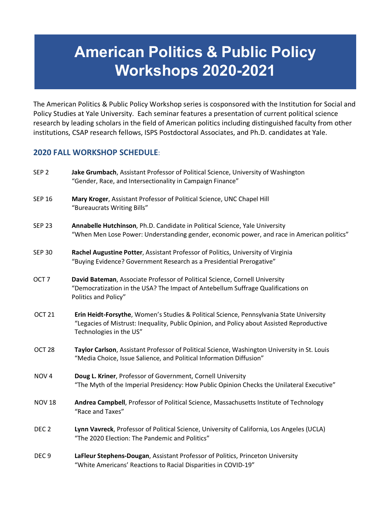## **American Politics & Public Policy Workshops 2020-2021**

The American Politics & Public Policy Workshop series is cosponsored with the Institution for Social and Policy Studies at Yale University. Each seminar features a presentation of current political science research by leading scholars in the field of American politics including distinguished faculty from other institutions, CSAP research fellows, ISPS Postdoctoral Associates, and Ph.D. candidates at Yale.

## **2020 FALL WORKSHOP SCHEDULE**:

| SEP <sub>2</sub>  | Jake Grumbach, Assistant Professor of Political Science, University of Washington<br>"Gender, Race, and Intersectionality in Campaign Finance"                                                                  |
|-------------------|-----------------------------------------------------------------------------------------------------------------------------------------------------------------------------------------------------------------|
| <b>SEP 16</b>     | Mary Kroger, Assistant Professor of Political Science, UNC Chapel Hill<br>"Bureaucrats Writing Bills"                                                                                                           |
| <b>SEP 23</b>     | Annabelle Hutchinson, Ph.D. Candidate in Political Science, Yale University<br>"When Men Lose Power: Understanding gender, economic power, and race in American politics"                                       |
| <b>SEP 30</b>     | Rachel Augustine Potter, Assistant Professor of Politics, University of Virginia<br>"Buying Evidence? Government Research as a Presidential Prerogative"                                                        |
| OCT <sub>7</sub>  | David Bateman, Associate Professor of Political Science, Cornell University<br>"Democratization in the USA? The Impact of Antebellum Suffrage Qualifications on<br>Politics and Policy"                         |
| OCT <sub>21</sub> | Erin Heidt-Forsythe, Women's Studies & Political Science, Pennsylvania State University<br>"Legacies of Mistrust: Inequality, Public Opinion, and Policy about Assisted Reproductive<br>Technologies in the US" |
| OCT <sub>28</sub> | Taylor Carlson, Assistant Professor of Political Science, Washington University in St. Louis<br>"Media Choice, Issue Salience, and Political Information Diffusion"                                             |
| NOV <sub>4</sub>  | Doug L. Kriner, Professor of Government, Cornell University<br>"The Myth of the Imperial Presidency: How Public Opinion Checks the Unilateral Executive"                                                        |
| <b>NOV 18</b>     | Andrea Campbell, Professor of Political Science, Massachusetts Institute of Technology<br>"Race and Taxes"                                                                                                      |
| DEC <sub>2</sub>  | Lynn Vavreck, Professor of Political Science, University of California, Los Angeles (UCLA)<br>"The 2020 Election: The Pandemic and Politics"                                                                    |
| DEC <sub>9</sub>  | LaFleur Stephens-Dougan, Assistant Professor of Politics, Princeton University<br>"White Americans' Reactions to Racial Disparities in COVID-19"                                                                |
|                   |                                                                                                                                                                                                                 |